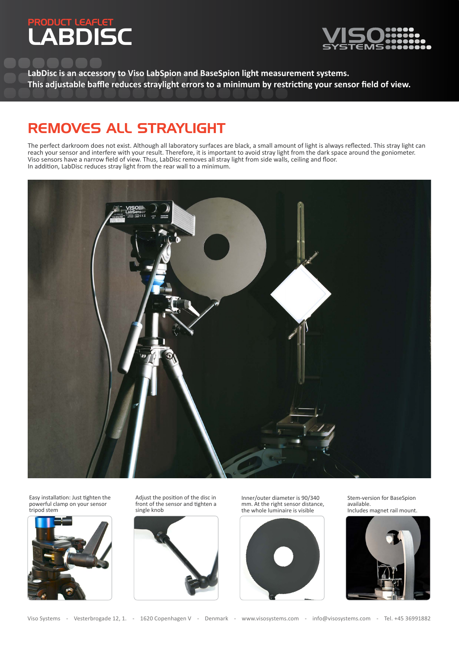# PRODUCT LEAFLET LABDISC



**LabDisc is an accessory to Viso LabSpion and BaseSpion light measurement systems. This adjustable baffle reduces straylight errors to a minimum by restricting your sensor field of view.**

# REMOVES ALL STRAYLIGHT

The perfect darkroom does not exist. Although all laboratory surfaces are black, a small amount of light is always reflected. This stray light can reach your sensor and interfere with your result. Therefore, it is important to avoid stray light from the dark space around the goniometer. Viso sensors have a narrow field of view. Thus, LabDisc removes all stray light from side walls, ceiling and floor. In addition, LabDisc reduces stray light from the rear wall to a minimum.



Easy installation: Just tighten the powerful clamp on your sensor tripod stem



Adjust the position of the disc in front of the sensor and tighten a single knob



Inner/outer diameter is 90/340 mm. At the right sensor distance, the whole luminaire is visible



Stem-version for BaseSpion available. Includes magnet rail mount.